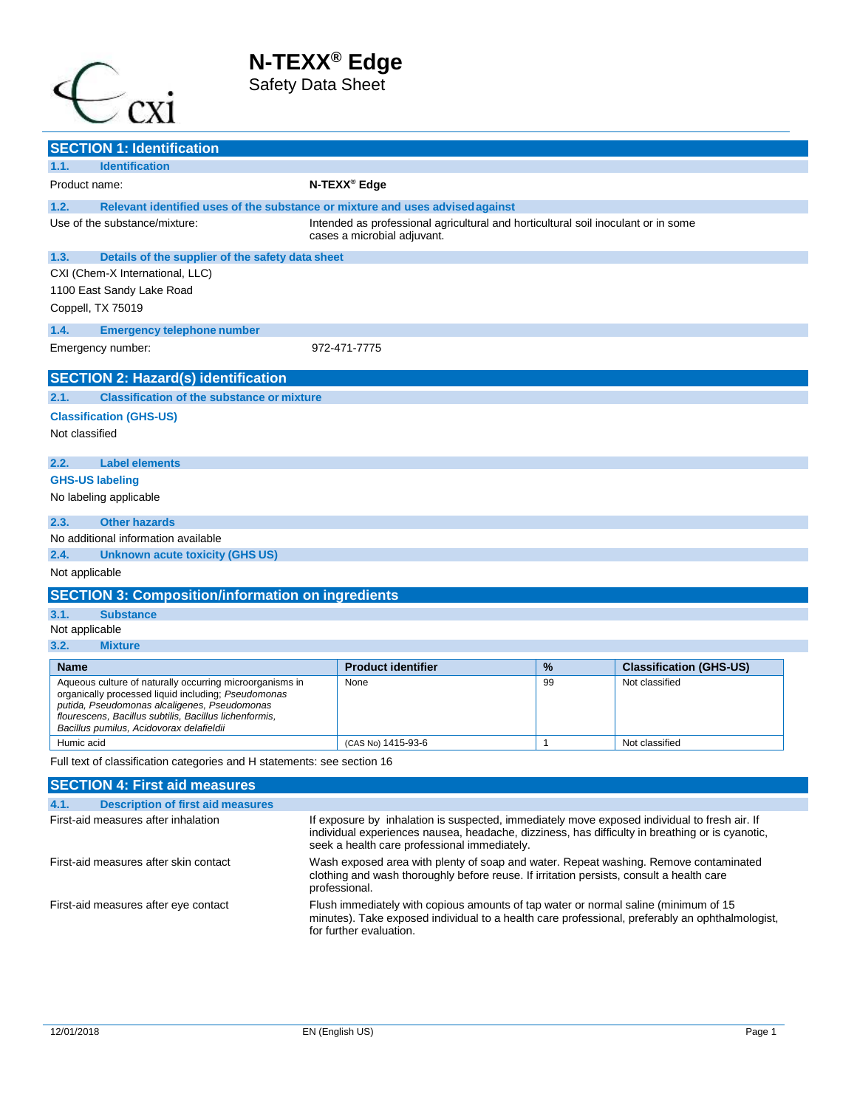Safety Data Sheet



| <b>SECTION 1: Identification</b>                                                                    |                                                                                                                                                                                                                                                 |                                                                                                                  |              |                                |
|-----------------------------------------------------------------------------------------------------|-------------------------------------------------------------------------------------------------------------------------------------------------------------------------------------------------------------------------------------------------|------------------------------------------------------------------------------------------------------------------|--------------|--------------------------------|
| <b>Identification</b><br>1.1.                                                                       |                                                                                                                                                                                                                                                 |                                                                                                                  |              |                                |
| Product name:                                                                                       |                                                                                                                                                                                                                                                 | N-TEXX <sup>®</sup> Edge                                                                                         |              |                                |
| 1.2.<br>Relevant identified uses of the substance or mixture and uses advised against               |                                                                                                                                                                                                                                                 |                                                                                                                  |              |                                |
| Use of the substance/mixture:                                                                       |                                                                                                                                                                                                                                                 | Intended as professional agricultural and horticultural soil inoculant or in some<br>cases a microbial adjuvant. |              |                                |
| 1.3.<br>Details of the supplier of the safety data sheet                                            |                                                                                                                                                                                                                                                 |                                                                                                                  |              |                                |
| CXI (Chem-X International, LLC)                                                                     |                                                                                                                                                                                                                                                 |                                                                                                                  |              |                                |
| 1100 East Sandy Lake Road                                                                           |                                                                                                                                                                                                                                                 |                                                                                                                  |              |                                |
| Coppell, TX 75019                                                                                   |                                                                                                                                                                                                                                                 |                                                                                                                  |              |                                |
| 1.4.<br><b>Emergency telephone number</b>                                                           |                                                                                                                                                                                                                                                 |                                                                                                                  |              |                                |
| Emergency number:                                                                                   |                                                                                                                                                                                                                                                 | 972-471-7775                                                                                                     |              |                                |
|                                                                                                     |                                                                                                                                                                                                                                                 |                                                                                                                  |              |                                |
| <b>SECTION 2: Hazard(s) identification</b>                                                          |                                                                                                                                                                                                                                                 |                                                                                                                  |              |                                |
| 2.1.<br><b>Classification of the substance or mixture</b>                                           |                                                                                                                                                                                                                                                 |                                                                                                                  |              |                                |
| <b>Classification (GHS-US)</b>                                                                      |                                                                                                                                                                                                                                                 |                                                                                                                  |              |                                |
| Not classified                                                                                      |                                                                                                                                                                                                                                                 |                                                                                                                  |              |                                |
| <b>Label elements</b><br>2.2.                                                                       |                                                                                                                                                                                                                                                 |                                                                                                                  |              |                                |
| <b>GHS-US labeling</b>                                                                              |                                                                                                                                                                                                                                                 |                                                                                                                  |              |                                |
| No labeling applicable                                                                              |                                                                                                                                                                                                                                                 |                                                                                                                  |              |                                |
| <b>Other hazards</b><br>2.3.                                                                        |                                                                                                                                                                                                                                                 |                                                                                                                  |              |                                |
| No additional information available                                                                 |                                                                                                                                                                                                                                                 |                                                                                                                  |              |                                |
| 2.4.<br><b>Unknown acute toxicity (GHS US)</b>                                                      |                                                                                                                                                                                                                                                 |                                                                                                                  |              |                                |
| Not applicable                                                                                      |                                                                                                                                                                                                                                                 |                                                                                                                  |              |                                |
| <b>SECTION 3: Composition/information on ingredients</b>                                            |                                                                                                                                                                                                                                                 |                                                                                                                  |              |                                |
| 3.1.<br><b>Substance</b>                                                                            |                                                                                                                                                                                                                                                 |                                                                                                                  |              |                                |
| Not applicable                                                                                      |                                                                                                                                                                                                                                                 |                                                                                                                  |              |                                |
| 3.2.<br><b>Mixture</b>                                                                              |                                                                                                                                                                                                                                                 |                                                                                                                  |              |                                |
| Name                                                                                                |                                                                                                                                                                                                                                                 | <b>Product identifier</b>                                                                                        | %            | <b>Classification (GHS-US)</b> |
| Aqueous culture of naturally occurring microorganisms in                                            |                                                                                                                                                                                                                                                 | None                                                                                                             | 99           | Not classified                 |
| organically processed liquid including; Pseudomonas<br>putida, Pseudomonas alcaligenes, Pseudomonas |                                                                                                                                                                                                                                                 |                                                                                                                  |              |                                |
| flourescens, Bacillus subtilis, Bacillus lichenformis,                                              |                                                                                                                                                                                                                                                 |                                                                                                                  |              |                                |
| Bacillus pumilus, Acidovorax delafieldii<br>Humic acid                                              |                                                                                                                                                                                                                                                 |                                                                                                                  | $\mathbf{1}$ |                                |
| Full text of classification categories and H statements: see section 16                             |                                                                                                                                                                                                                                                 | (CAS No) 1415-93-6                                                                                               |              | Not classified                 |
| <b>SECTION 4: First aid measures</b>                                                                |                                                                                                                                                                                                                                                 |                                                                                                                  |              |                                |
| <b>Description of first aid measures</b><br>4.1.                                                    |                                                                                                                                                                                                                                                 |                                                                                                                  |              |                                |
| First-aid measures after inhalation                                                                 |                                                                                                                                                                                                                                                 |                                                                                                                  |              |                                |
|                                                                                                     | If exposure by inhalation is suspected, immediately move exposed individual to fresh air. If<br>individual experiences nausea, headache, dizziness, has difficulty in breathing or is cyanotic,<br>seek a health care professional immediately. |                                                                                                                  |              |                                |
| First-aid measures after skin contact                                                               | Wash exposed area with plenty of soap and water. Repeat washing. Remove contaminated<br>clothing and wash thoroughly before reuse. If irritation persists, consult a health care<br>professional.                                               |                                                                                                                  |              |                                |
| First-aid measures after eye contact                                                                | Flush immediately with copious amounts of tap water or normal saline (minimum of 15<br>minutes). Take exposed individual to a health care professional, preferably an ophthalmologist,<br>for further evaluation.                               |                                                                                                                  |              |                                |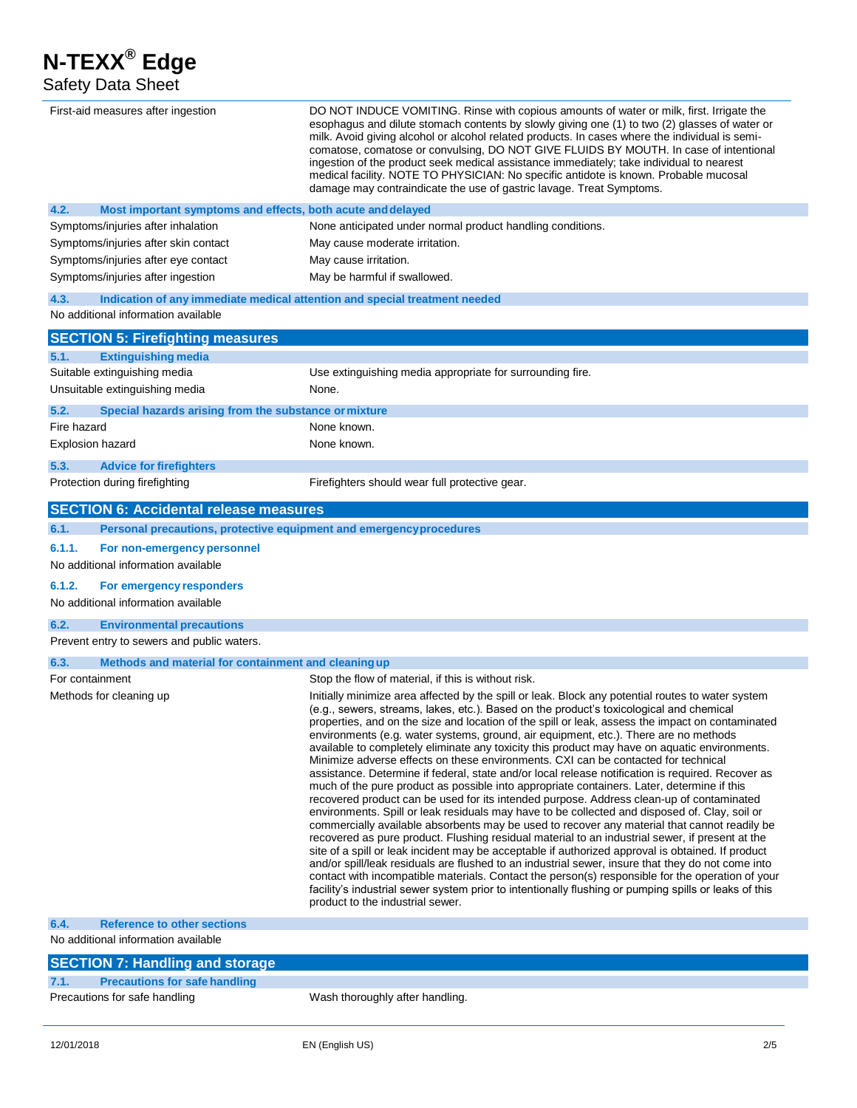## Safety Data Sheet

| First-aid measures after ingestion                                                 | DO NOT INDUCE VOMITING. Rinse with copious amounts of water or milk, first. Irrigate the<br>esophagus and dilute stomach contents by slowly giving one (1) to two (2) glasses of water or<br>milk. Avoid giving alcohol or alcohol related products. In cases where the individual is semi-<br>comatose, comatose or convulsing, DO NOT GIVE FLUIDS BY MOUTH. In case of intentional<br>ingestion of the product seek medical assistance immediately; take individual to nearest<br>medical facility. NOTE TO PHYSICIAN: No specific antidote is known. Probable mucosal<br>damage may contraindicate the use of gastric lavage. Treat Symptoms.                                                                                                                                                                                                                                                                                                                                                                                                                                                                                                                                                                                                                                                                                                                                                                                                                                                                                                                                                                                              |
|------------------------------------------------------------------------------------|-----------------------------------------------------------------------------------------------------------------------------------------------------------------------------------------------------------------------------------------------------------------------------------------------------------------------------------------------------------------------------------------------------------------------------------------------------------------------------------------------------------------------------------------------------------------------------------------------------------------------------------------------------------------------------------------------------------------------------------------------------------------------------------------------------------------------------------------------------------------------------------------------------------------------------------------------------------------------------------------------------------------------------------------------------------------------------------------------------------------------------------------------------------------------------------------------------------------------------------------------------------------------------------------------------------------------------------------------------------------------------------------------------------------------------------------------------------------------------------------------------------------------------------------------------------------------------------------------------------------------------------------------|
| 4.2.<br>Most important symptoms and effects, both acute and delayed                |                                                                                                                                                                                                                                                                                                                                                                                                                                                                                                                                                                                                                                                                                                                                                                                                                                                                                                                                                                                                                                                                                                                                                                                                                                                                                                                                                                                                                                                                                                                                                                                                                                               |
| Symptoms/injuries after inhalation                                                 | None anticipated under normal product handling conditions.                                                                                                                                                                                                                                                                                                                                                                                                                                                                                                                                                                                                                                                                                                                                                                                                                                                                                                                                                                                                                                                                                                                                                                                                                                                                                                                                                                                                                                                                                                                                                                                    |
| Symptoms/injuries after skin contact                                               | May cause moderate irritation.                                                                                                                                                                                                                                                                                                                                                                                                                                                                                                                                                                                                                                                                                                                                                                                                                                                                                                                                                                                                                                                                                                                                                                                                                                                                                                                                                                                                                                                                                                                                                                                                                |
| Symptoms/injuries after eye contact                                                | May cause irritation.                                                                                                                                                                                                                                                                                                                                                                                                                                                                                                                                                                                                                                                                                                                                                                                                                                                                                                                                                                                                                                                                                                                                                                                                                                                                                                                                                                                                                                                                                                                                                                                                                         |
| Symptoms/injuries after ingestion                                                  | May be harmful if swallowed.                                                                                                                                                                                                                                                                                                                                                                                                                                                                                                                                                                                                                                                                                                                                                                                                                                                                                                                                                                                                                                                                                                                                                                                                                                                                                                                                                                                                                                                                                                                                                                                                                  |
| 4.3.<br>Indication of any immediate medical attention and special treatment needed |                                                                                                                                                                                                                                                                                                                                                                                                                                                                                                                                                                                                                                                                                                                                                                                                                                                                                                                                                                                                                                                                                                                                                                                                                                                                                                                                                                                                                                                                                                                                                                                                                                               |
| No additional information available                                                |                                                                                                                                                                                                                                                                                                                                                                                                                                                                                                                                                                                                                                                                                                                                                                                                                                                                                                                                                                                                                                                                                                                                                                                                                                                                                                                                                                                                                                                                                                                                                                                                                                               |
| <b>SECTION 5: Firefighting measures</b>                                            |                                                                                                                                                                                                                                                                                                                                                                                                                                                                                                                                                                                                                                                                                                                                                                                                                                                                                                                                                                                                                                                                                                                                                                                                                                                                                                                                                                                                                                                                                                                                                                                                                                               |
| <b>Extinguishing media</b><br>5.1.                                                 |                                                                                                                                                                                                                                                                                                                                                                                                                                                                                                                                                                                                                                                                                                                                                                                                                                                                                                                                                                                                                                                                                                                                                                                                                                                                                                                                                                                                                                                                                                                                                                                                                                               |
| Suitable extinguishing media                                                       | Use extinguishing media appropriate for surrounding fire.                                                                                                                                                                                                                                                                                                                                                                                                                                                                                                                                                                                                                                                                                                                                                                                                                                                                                                                                                                                                                                                                                                                                                                                                                                                                                                                                                                                                                                                                                                                                                                                     |
| Unsuitable extinguishing media                                                     | None.                                                                                                                                                                                                                                                                                                                                                                                                                                                                                                                                                                                                                                                                                                                                                                                                                                                                                                                                                                                                                                                                                                                                                                                                                                                                                                                                                                                                                                                                                                                                                                                                                                         |
| 5.2.<br>Special hazards arising from the substance or mixture                      |                                                                                                                                                                                                                                                                                                                                                                                                                                                                                                                                                                                                                                                                                                                                                                                                                                                                                                                                                                                                                                                                                                                                                                                                                                                                                                                                                                                                                                                                                                                                                                                                                                               |
| Fire hazard                                                                        | None known.                                                                                                                                                                                                                                                                                                                                                                                                                                                                                                                                                                                                                                                                                                                                                                                                                                                                                                                                                                                                                                                                                                                                                                                                                                                                                                                                                                                                                                                                                                                                                                                                                                   |
| Explosion hazard                                                                   | None known.                                                                                                                                                                                                                                                                                                                                                                                                                                                                                                                                                                                                                                                                                                                                                                                                                                                                                                                                                                                                                                                                                                                                                                                                                                                                                                                                                                                                                                                                                                                                                                                                                                   |
| 5.3.<br><b>Advice for firefighters</b>                                             |                                                                                                                                                                                                                                                                                                                                                                                                                                                                                                                                                                                                                                                                                                                                                                                                                                                                                                                                                                                                                                                                                                                                                                                                                                                                                                                                                                                                                                                                                                                                                                                                                                               |
| Protection during firefighting                                                     | Firefighters should wear full protective gear.                                                                                                                                                                                                                                                                                                                                                                                                                                                                                                                                                                                                                                                                                                                                                                                                                                                                                                                                                                                                                                                                                                                                                                                                                                                                                                                                                                                                                                                                                                                                                                                                |
| <b>SECTION 6: Accidental release measures</b>                                      |                                                                                                                                                                                                                                                                                                                                                                                                                                                                                                                                                                                                                                                                                                                                                                                                                                                                                                                                                                                                                                                                                                                                                                                                                                                                                                                                                                                                                                                                                                                                                                                                                                               |
| Personal precautions, protective equipment and emergency procedures<br>6.1.        |                                                                                                                                                                                                                                                                                                                                                                                                                                                                                                                                                                                                                                                                                                                                                                                                                                                                                                                                                                                                                                                                                                                                                                                                                                                                                                                                                                                                                                                                                                                                                                                                                                               |
| 6.1.1.<br>For non-emergency personnel<br>No additional information available       |                                                                                                                                                                                                                                                                                                                                                                                                                                                                                                                                                                                                                                                                                                                                                                                                                                                                                                                                                                                                                                                                                                                                                                                                                                                                                                                                                                                                                                                                                                                                                                                                                                               |
| 6.1.2.<br>For emergency responders<br>No additional information available          |                                                                                                                                                                                                                                                                                                                                                                                                                                                                                                                                                                                                                                                                                                                                                                                                                                                                                                                                                                                                                                                                                                                                                                                                                                                                                                                                                                                                                                                                                                                                                                                                                                               |
| 6.2.<br><b>Environmental precautions</b>                                           |                                                                                                                                                                                                                                                                                                                                                                                                                                                                                                                                                                                                                                                                                                                                                                                                                                                                                                                                                                                                                                                                                                                                                                                                                                                                                                                                                                                                                                                                                                                                                                                                                                               |
| Prevent entry to sewers and public waters.                                         |                                                                                                                                                                                                                                                                                                                                                                                                                                                                                                                                                                                                                                                                                                                                                                                                                                                                                                                                                                                                                                                                                                                                                                                                                                                                                                                                                                                                                                                                                                                                                                                                                                               |
| Methods and material for containment and cleaning up<br>6.3.                       |                                                                                                                                                                                                                                                                                                                                                                                                                                                                                                                                                                                                                                                                                                                                                                                                                                                                                                                                                                                                                                                                                                                                                                                                                                                                                                                                                                                                                                                                                                                                                                                                                                               |
| For containment                                                                    | Stop the flow of material, if this is without risk.                                                                                                                                                                                                                                                                                                                                                                                                                                                                                                                                                                                                                                                                                                                                                                                                                                                                                                                                                                                                                                                                                                                                                                                                                                                                                                                                                                                                                                                                                                                                                                                           |
| Methods for cleaning up                                                            | Initially minimize area affected by the spill or leak. Block any potential routes to water system<br>(e.g., sewers, streams, lakes, etc.). Based on the product's toxicological and chemical<br>properties, and on the size and location of the spill or leak, assess the impact on contaminated<br>environments (e.g. water systems, ground, air equipment, etc.). There are no methods<br>available to completely eliminate any toxicity this product may have on aquatic environments.<br>Minimize adverse effects on these environments. CXI can be contacted for technical<br>assistance. Determine if federal, state and/or local release notification is required. Recover as<br>much of the pure product as possible into appropriate containers. Later, determine if this<br>recovered product can be used for its intended purpose. Address clean-up of contaminated<br>environments. Spill or leak residuals may have to be collected and disposed of. Clay, soil or<br>commercially available absorbents may be used to recover any material that cannot readily be<br>recovered as pure product. Flushing residual material to an industrial sewer, if present at the<br>site of a spill or leak incident may be acceptable if authorized approval is obtained. If product<br>and/or spill/leak residuals are flushed to an industrial sewer, insure that they do not come into<br>contact with incompatible materials. Contact the person(s) responsible for the operation of your<br>facility's industrial sewer system prior to intentionally flushing or pumping spills or leaks of this<br>product to the industrial sewer. |
| <b>Reference to other sections</b><br>6.4.                                         |                                                                                                                                                                                                                                                                                                                                                                                                                                                                                                                                                                                                                                                                                                                                                                                                                                                                                                                                                                                                                                                                                                                                                                                                                                                                                                                                                                                                                                                                                                                                                                                                                                               |
| No additional information available                                                |                                                                                                                                                                                                                                                                                                                                                                                                                                                                                                                                                                                                                                                                                                                                                                                                                                                                                                                                                                                                                                                                                                                                                                                                                                                                                                                                                                                                                                                                                                                                                                                                                                               |
| <b>SECTION 7: Handling and storage</b>                                             |                                                                                                                                                                                                                                                                                                                                                                                                                                                                                                                                                                                                                                                                                                                                                                                                                                                                                                                                                                                                                                                                                                                                                                                                                                                                                                                                                                                                                                                                                                                                                                                                                                               |

|      | <b>PULOTION 7. Handmig and storage</b> |                                 |
|------|----------------------------------------|---------------------------------|
| 7.1. | <b>Precautions for safe handling</b>   |                                 |
|      | Precautions for safe handling          | Wash thoroughly after handling. |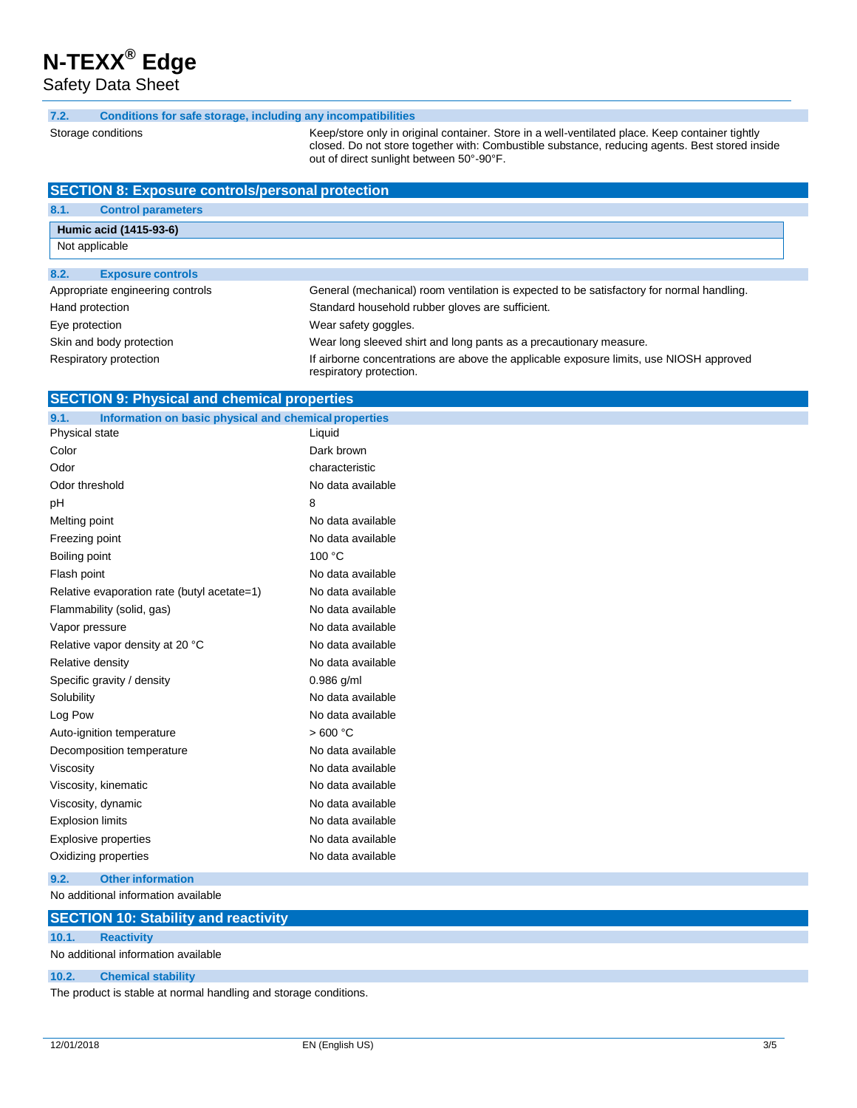Safety Data Sheet

#### **7.2. Conditions for safe sto rage, including any incompatibilities**

Storage conditions

Keep/store only in original container. Store in a well-ventilated place. Keep container tightly closed. Do not store together with: Combustible substance, reducing agents. Best stored inside out of direct sunlight between 50°-90°F.

| <b>SECTION 8: Exposure controls/personal protection</b> |                                                                                                                    |  |  |
|---------------------------------------------------------|--------------------------------------------------------------------------------------------------------------------|--|--|
| 8.1.<br><b>Control parameters</b>                       |                                                                                                                    |  |  |
| Humic acid (1415-93-6)                                  |                                                                                                                    |  |  |
| Not applicable                                          |                                                                                                                    |  |  |
| 8.2.<br><b>Exposure controls</b>                        |                                                                                                                    |  |  |
| Appropriate engineering controls                        | General (mechanical) room ventilation is expected to be satisfactory for normal handling.                          |  |  |
| Hand protection                                         | Standard household rubber gloves are sufficient.                                                                   |  |  |
| Eye protection                                          | Wear safety goggles.                                                                                               |  |  |
| Skin and body protection                                | Wear long sleeved shirt and long pants as a precautionary measure.                                                 |  |  |
| Respiratory protection                                  | If airborne concentrations are above the applicable exposure limits, use NIOSH approved<br>respiratory protection. |  |  |

## **SECTION 9: Physical and chemical properties**

| Information on basic physical and chemical properties<br>9.1. |                   |
|---------------------------------------------------------------|-------------------|
| Physical state                                                | Liquid            |
| Color                                                         | Dark brown        |
| Odor                                                          | characteristic    |
| Odor threshold                                                | No data available |
| рH                                                            | 8                 |
| Melting point                                                 | No data available |
| Freezing point                                                | No data available |
| Boiling point                                                 | 100 °C            |
| Flash point                                                   | No data available |
| Relative evaporation rate (butyl acetate=1)                   | No data available |
| Flammability (solid, gas)                                     | No data available |
| Vapor pressure                                                | No data available |
| Relative vapor density at 20 °C                               | No data available |
| Relative density                                              | No data available |
| Specific gravity / density                                    | $0.986$ g/ml      |
| Solubility                                                    | No data available |
| Log Pow                                                       | No data available |
| Auto-ignition temperature                                     | >600 °C           |
| Decomposition temperature                                     | No data available |
| Viscosity                                                     | No data available |
| Viscosity, kinematic                                          | No data available |
| Viscosity, dynamic                                            | No data available |
| <b>Explosion limits</b>                                       | No data available |
| <b>Explosive properties</b>                                   | No data available |
| Oxidizing properties                                          | No data available |
|                                                               |                   |

No additional information available **9.2. Other information**

#### **SECTION 10: Stability and reactivity**

#### **10.1. Reactivity**

No additional information available

#### **10.2. Chemical stability**

The product is stable at normal handling and storage conditions.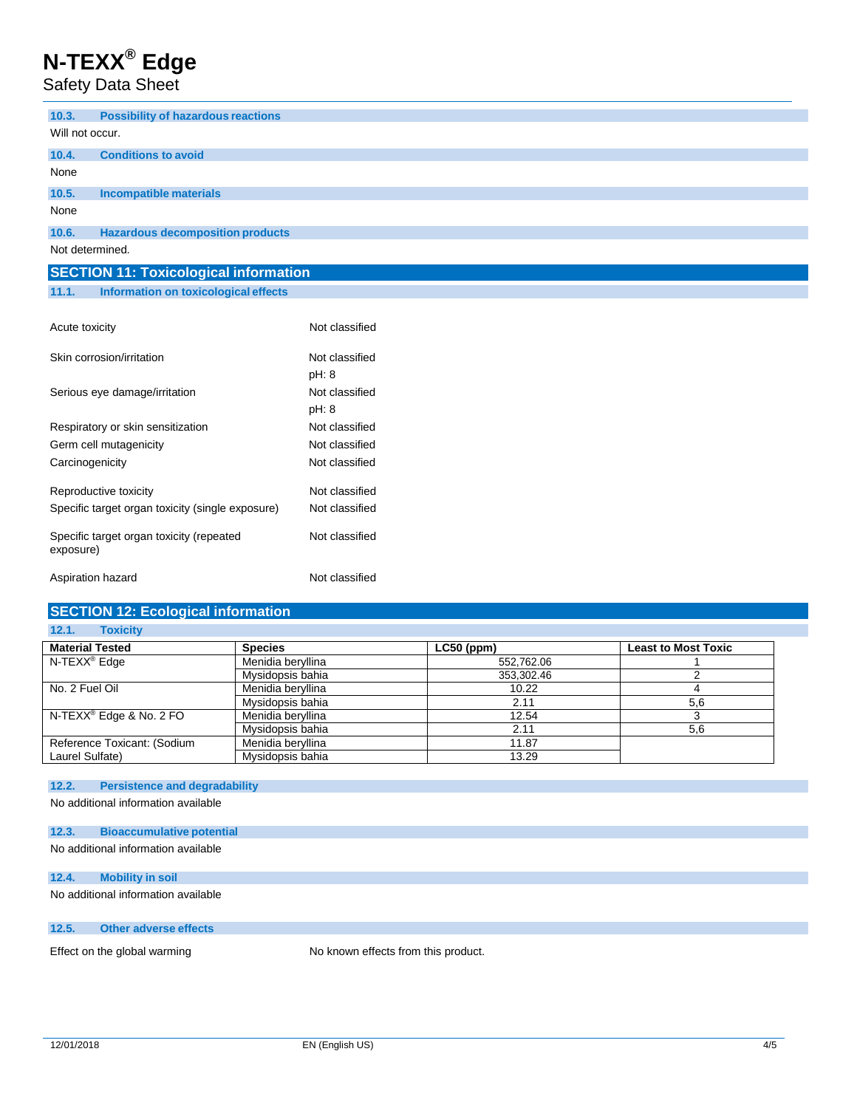Safety Data Sheet

| 10.3.           | <b>Possibility of hazardous reactions</b>    |
|-----------------|----------------------------------------------|
| Will not occur. |                                              |
| 10.4.           | <b>Conditions to avoid</b>                   |
| None            |                                              |
| 10.5.           | Incompatible materials                       |
| None            |                                              |
| 10.6.           | <b>Hazardous decomposition products</b>      |
|                 | Not determined.                              |
|                 | <b>SECTION 11: Toxicological information</b> |
| 11.1.           | Information on toxicological effects         |

# Acute toxicity **Not classified**

| Skin corrosion/irritation                             | Not classified |
|-------------------------------------------------------|----------------|
|                                                       | pH: 8          |
| Serious eye damage/irritation                         | Not classified |
|                                                       | pH: 8          |
| Respiratory or skin sensitization                     | Not classified |
| Germ cell mutagenicity                                | Not classified |
| Carcinogenicity                                       | Not classified |
| Reproductive toxicity                                 | Not classified |
| Specific target organ toxicity (single exposure)      | Not classified |
| Specific target organ toxicity (repeated<br>exposure) | Not classified |
| Aspiration hazard                                     | Not classified |

## **SECTION 12: Ecological information**

#### **12.1. Toxicity Material Tested Species LC50 (ppm) Least to Most Toxic** N-TEXX<sup>®</sup> Edge Menidia beryllina Mysidopsis bahia 353,302.46 2 No. 2 Fuel Oil **Menidia beryllina** 10.22 4<br>Menidia beryllina 10.22 4<br>5,6 Mysidopsis bahia 2.11 2.11 2.54 menidia beryllina 2.154 menidia beryllina N-TEXX ® Edge & No. 2 FO Menidia beryllina 12.54 3 Mysidopsis bahia 6,6 Reference Toxicant: (Sodium Laurel Sulfate) Menidia beryllina 11.87 Mysidopsis bahia 13.29

## **12.2. Persistence and degradability**

No additional information available

| 12.3. | <b>Bioaccumulative potential</b> |  |
|-------|----------------------------------|--|
|       |                                  |  |

```
No additional information available
```
## **12.4. Mobility in soil**

No additional information available

## **12.5. Other adverse effects**

Effect on the global warming No known effects from this product.